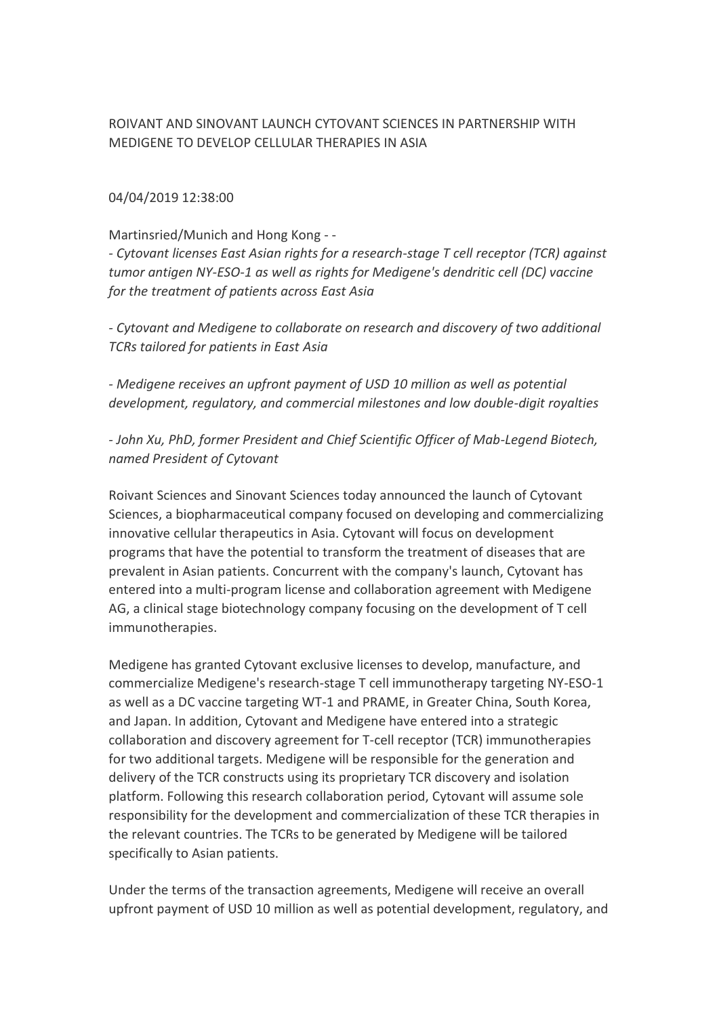# ROIVANT AND SINOVANT LAUNCH CYTOVANT SCIENCES IN PARTNERSHIP WITH MEDIGENE TO DEVELOP CELLULAR THERAPIES IN ASIA

# 04/04/2019 12:38:00

Martinsried/Munich and Hong Kong - -

*- Cytovant licenses East Asian rights for a research-stage T cell receptor (TCR) against tumor antigen NY-ESO-1 as well as rights for Medigene's dendritic cell (DC) vaccine for the treatment of patients across East Asia*

*- Cytovant and Medigene to collaborate on research and discovery of two additional TCRs tailored for patients in East Asia*

*- Medigene receives an upfront payment of USD 10 million as well as potential development, regulatory, and commercial milestones and low double-digit royalties*

*- John Xu, PhD, former President and Chief Scientific Officer of Mab-Legend Biotech, named President of Cytovant*

Roivant Sciences and Sinovant Sciences today announced the launch of Cytovant Sciences, a biopharmaceutical company focused on developing and commercializing innovative cellular therapeutics in Asia. Cytovant will focus on development programs that have the potential to transform the treatment of diseases that are prevalent in Asian patients. Concurrent with the company's launch, Cytovant has entered into a multi-program license and collaboration agreement with Medigene AG, a clinical stage biotechnology company focusing on the development of T cell immunotherapies.

Medigene has granted Cytovant exclusive licenses to develop, manufacture, and commercialize Medigene's research-stage T cell immunotherapy targeting NY-ESO-1 as well as a DC vaccine targeting WT-1 and PRAME, in Greater China, South Korea, and Japan. In addition, Cytovant and Medigene have entered into a strategic collaboration and discovery agreement for T-cell receptor (TCR) immunotherapies for two additional targets. Medigene will be responsible for the generation and delivery of the TCR constructs using its proprietary TCR discovery and isolation platform. Following this research collaboration period, Cytovant will assume sole responsibility for the development and commercialization of these TCR therapies in the relevant countries. The TCRs to be generated by Medigene will be tailored specifically to Asian patients.

Under the terms of the transaction agreements, Medigene will receive an overall upfront payment of USD 10 million as well as potential development, regulatory, and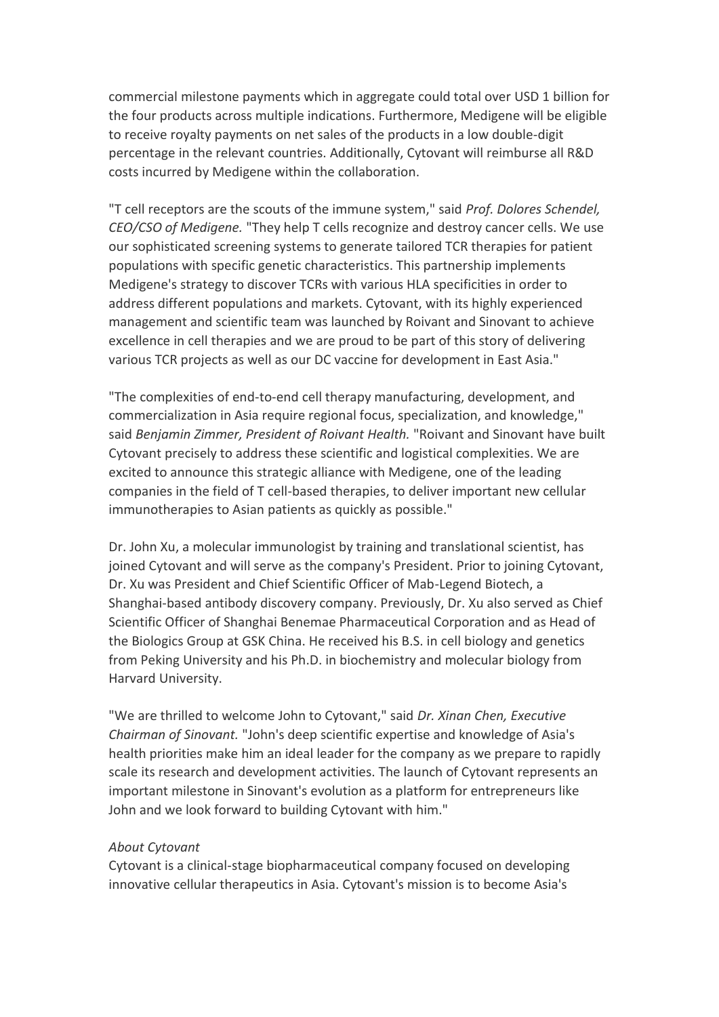commercial milestone payments which in aggregate could total over USD 1 billion for the four products across multiple indications. Furthermore, Medigene will be eligible to receive royalty payments on net sales of the products in a low double-digit percentage in the relevant countries. Additionally, Cytovant will reimburse all R&D costs incurred by Medigene within the collaboration.

"T cell receptors are the scouts of the immune system," said *Prof. Dolores Schendel, CEO/CSO of Medigene.* "They help T cells recognize and destroy cancer cells. We use our sophisticated screening systems to generate tailored TCR therapies for patient populations with specific genetic characteristics. This partnership implements Medigene's strategy to discover TCRs with various HLA specificities in order to address different populations and markets. Cytovant, with its highly experienced management and scientific team was launched by Roivant and Sinovant to achieve excellence in cell therapies and we are proud to be part of this story of delivering various TCR projects as well as our DC vaccine for development in East Asia."

"The complexities of end-to-end cell therapy manufacturing, development, and commercialization in Asia require regional focus, specialization, and knowledge," said *Benjamin Zimmer, President of Roivant Health.* "Roivant and Sinovant have built Cytovant precisely to address these scientific and logistical complexities. We are excited to announce this strategic alliance with Medigene, one of the leading companies in the field of T cell-based therapies, to deliver important new cellular immunotherapies to Asian patients as quickly as possible."

Dr. John Xu, a molecular immunologist by training and translational scientist, has joined Cytovant and will serve as the company's President. Prior to joining Cytovant, Dr. Xu was President and Chief Scientific Officer of Mab-Legend Biotech, a Shanghai-based antibody discovery company. Previously, Dr. Xu also served as Chief Scientific Officer of Shanghai Benemae Pharmaceutical Corporation and as Head of the Biologics Group at GSK China. He received his B.S. in cell biology and genetics from Peking University and his Ph.D. in biochemistry and molecular biology from Harvard University.

"We are thrilled to welcome John to Cytovant," said *Dr. Xinan Chen, Executive Chairman of Sinovant.* "John's deep scientific expertise and knowledge of Asia's health priorities make him an ideal leader for the company as we prepare to rapidly scale its research and development activities. The launch of Cytovant represents an important milestone in Sinovant's evolution as a platform for entrepreneurs like John and we look forward to building Cytovant with him."

# *About Cytovant*

Cytovant is a clinical-stage biopharmaceutical company focused on developing innovative cellular therapeutics in Asia. Cytovant's mission is to become Asia's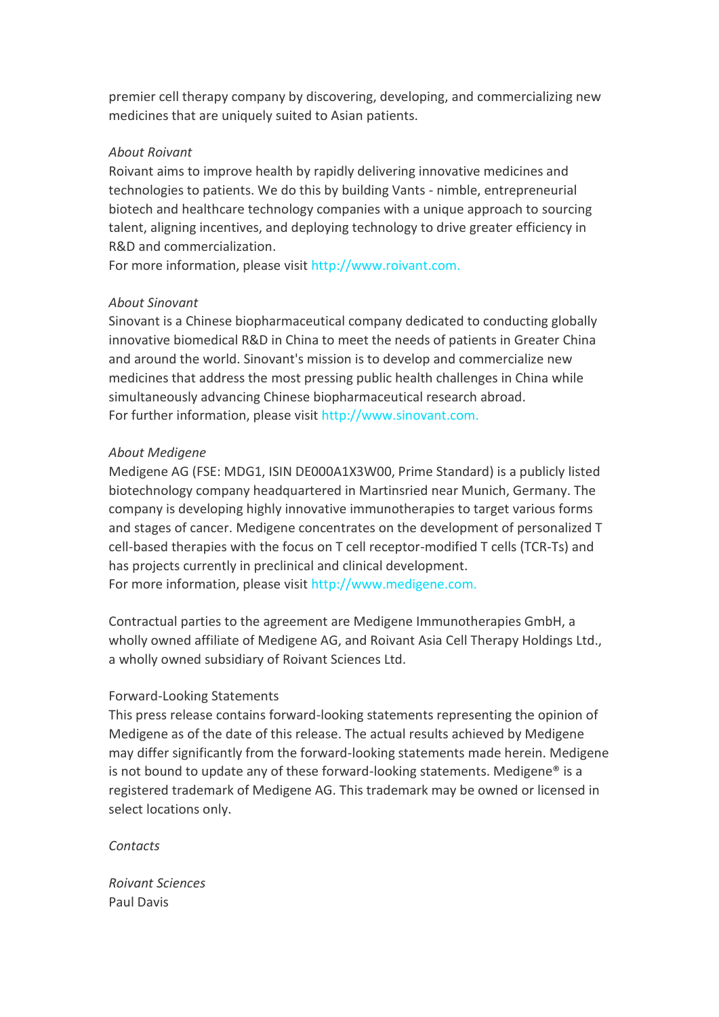premier cell therapy company by discovering, developing, and commercializing new medicines that are uniquely suited to Asian patients.

### *About Roivant*

Roivant aims to improve health by rapidly delivering innovative medicines and technologies to patients. We do this by building Vants - nimble, entrepreneurial biotech and healthcare technology companies with a unique approach to sourcing talent, aligning incentives, and deploying technology to drive greater efficiency in R&D and commercialization.

For more information, please visit [http://www.roivant.com.](http://www.roivant.com./)

#### *About Sinovant*

Sinovant is a Chinese biopharmaceutical company dedicated to conducting globally innovative biomedical R&D in China to meet the needs of patients in Greater China and around the world. Sinovant's mission is to develop and commercialize new medicines that address the most pressing public health challenges in China while simultaneously advancing Chinese biopharmaceutical research abroad. For further information, please visit [http://www.sinovant.com.](http://www.sinovant.com./)

#### *About Medigene*

Medigene AG (FSE: MDG1, ISIN DE000A1X3W00, Prime Standard) is a publicly listed biotechnology company headquartered in Martinsried near Munich, Germany. The company is developing highly innovative immunotherapies to target various forms and stages of cancer. Medigene concentrates on the development of personalized T cell-based therapies with the focus on T cell receptor-modified T cells (TCR-Ts) and has projects currently in preclinical and clinical development.

For more information, please visit [http://www.medigene.com.](http://www.medigene.com./)

Contractual parties to the agreement are Medigene Immunotherapies GmbH, a wholly owned affiliate of Medigene AG, and Roivant Asia Cell Therapy Holdings Ltd., a wholly owned subsidiary of Roivant Sciences Ltd.

# Forward-Looking Statements

This press release contains forward-looking statements representing the opinion of Medigene as of the date of this release. The actual results achieved by Medigene may differ significantly from the forward-looking statements made herein. Medigene is not bound to update any of these forward-looking statements. Medigene® is a registered trademark of Medigene AG. This trademark may be owned or licensed in select locations only.

#### *Contacts*

*Roivant Sciences* Paul Davis